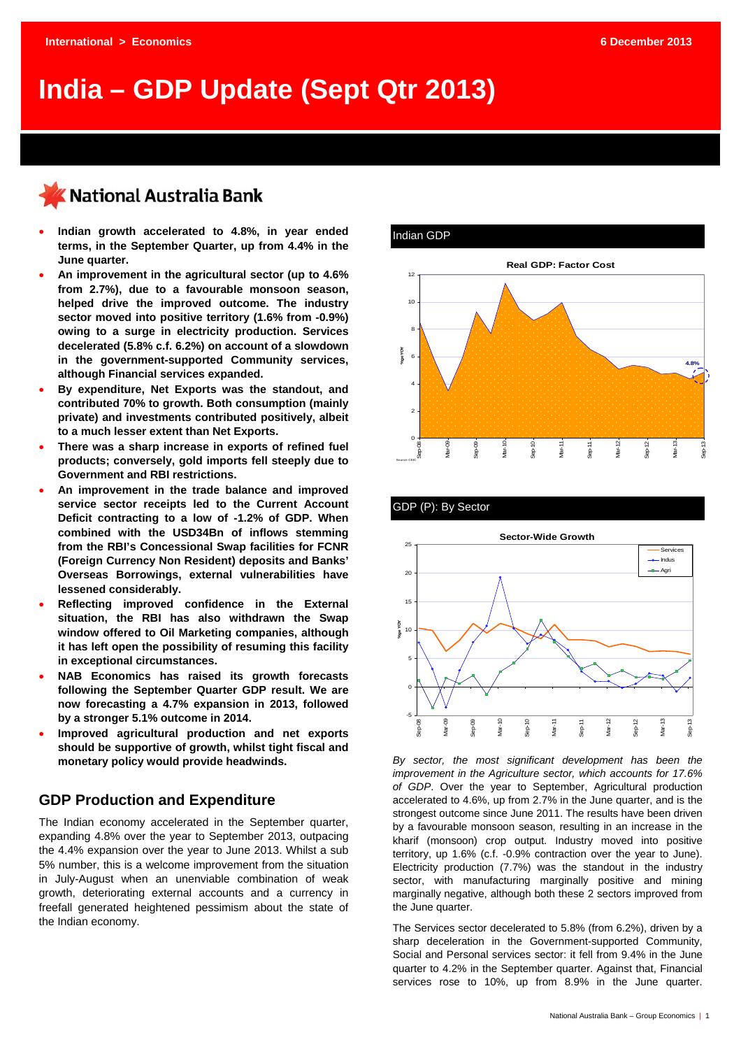# **India – GDP Update (Sept Qtr 2013)**

## KNational Australia Bank

- **Indian growth accelerated to 4.8%, in year ended terms, in the September Quarter, up from 4.4% in the June quarter.**
- **An improvement in the agricultural sector (up to 4.6% from 2.7%), due to a favourable monsoon season, helped drive the improved outcome. The industry sector moved into positive territory (1.6% from -0.9%) owing to a surge in electricity production. Services decelerated (5.8% c.f. 6.2%) on account of a slowdown in the government-supported Community services, although Financial services expanded.**
- **By expenditure, Net Exports was the standout, and contributed 70% to growth. Both consumption (mainly private) and investments contributed positively, albeit to a much lesser extent than Net Exports.**
- **There was a sharp increase in exports of refined fuel products; conversely, gold imports fell steeply due to Government and RBI restrictions.**
- **An improvement in the trade balance and improved service sector receipts led to the Current Account Deficit contracting to a low of -1.2% of GDP. When combined with the USD34Bn of inflows stemming from the RBI's Concessional Swap facilities for FCNR (Foreign Currency Non Resident) deposits and Banks' Overseas Borrowings, external vulnerabilities have lessened considerably.**
- **Reflecting improved confidence in the External situation, the RBI has also withdrawn the Swap window offered to Oil Marketing companies, although it has left open the possibility of resuming this facility in exceptional circumstances.**
- **NAB Economics has raised its growth forecasts following the September Quarter GDP result. We are now forecasting a 4.7% expansion in 2013, followed by a stronger 5.1% outcome in 2014.**
- **Improved agricultural production and net exports should be supportive of growth, whilst tight fiscal and monetary policy would provide headwinds.**

### **GDP Production and Expenditure**

The Indian economy accelerated in the September quarter, expanding 4.8% over the year to September 2013, outpacing the 4.4% expansion over the year to June 2013. Whilst a sub 5% number, this is a welcome improvement from the situation in July-August when an unenviable combination of weak growth, deteriorating external accounts and a currency in freefall generated heightened pessimism about the state of the Indian economy.



#### GDP (P): By Sector



*By sector, the most significant development has been the improvement in the Agriculture sector, which accounts for 17.6% of GDP*. Over the year to September, Agricultural production accelerated to 4.6%, up from 2.7% in the June quarter, and is the strongest outcome since June 2011. The results have been driven by a favourable monsoon season, resulting in an increase in the kharif (monsoon) crop output. Industry moved into positive territory, up 1.6% (c.f. -0.9% contraction over the year to June). Electricity production (7.7%) was the standout in the industry sector, with manufacturing marginally positive and mining marginally negative, although both these 2 sectors improved from the June quarter.

The Services sector decelerated to 5.8% (from 6.2%), driven by a sharp deceleration in the Government-supported Community, Social and Personal services sector: it fell from 9.4% in the June quarter to 4.2% in the September quarter. Against that, Financial services rose to 10%, up from 8.9% in the June quarter.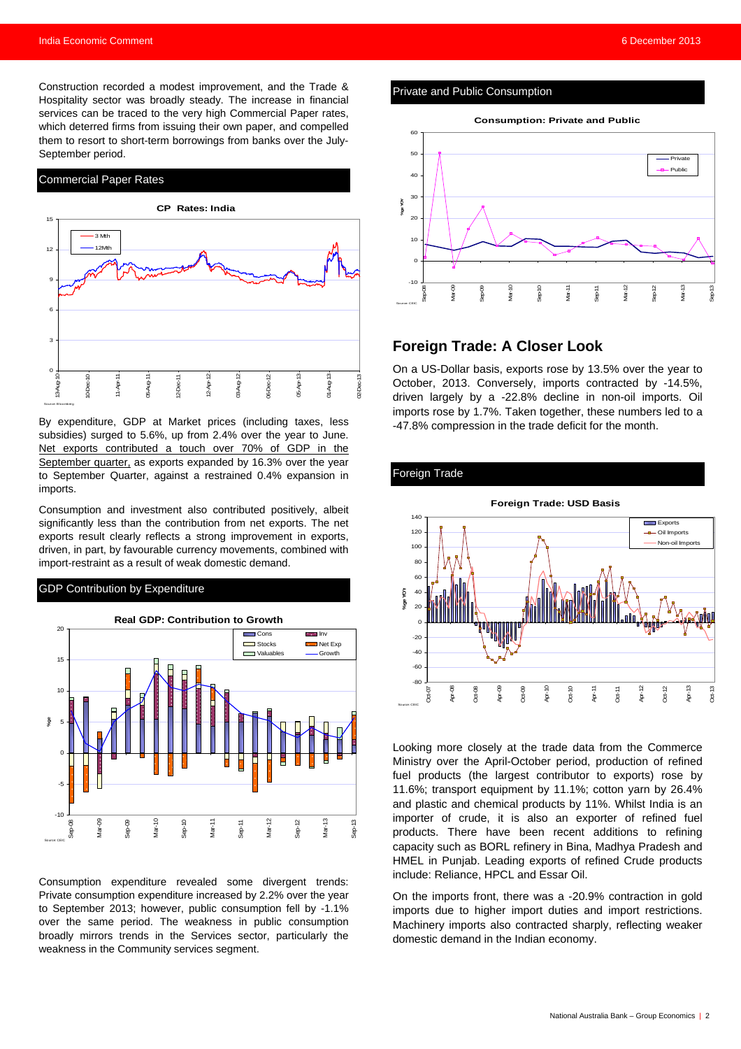Construction recorded a modest improvement, and the Trade & Hospitality sector was broadly steady. The increase in financial services can be traced to the very high Commercial Paper rates, which deterred firms from issuing their own paper, and compelled them to resort to short-term borrowings from banks over the July-September period.

#### Commercial Paper Rates



By expenditure, GDP at Market prices (including taxes, less subsidies) surged to 5.6%, up from 2.4% over the year to June. Net exports contributed a touch over 70% of GDP in the September quarter, as exports expanded by 16.3% over the year to September Quarter, against a restrained 0.4% expansion in imports.

Consumption and investment also contributed positively, albeit significantly less than the contribution from net exports. The net exports result clearly reflects a strong improvement in exports, driven, in part, by favourable currency movements, combined with import-restraint as a result of weak domestic demand.

#### GDP Contribution by Expenditure



Consumption expenditure revealed some divergent trends: Private consumption expenditure increased by 2.2% over the year to September 2013; however, public consumption fell by -1.1% over the same period. The weakness in public consumption broadly mirrors trends in the Services sector, particularly the weakness in the Community services segment.

#### Private and Public Consumption



### **Foreign Trade: A Closer Look**

On a US-Dollar basis, exports rose by 13.5% over the year to October, 2013. Conversely, imports contracted by -14.5%, driven largely by a -22.8% decline in non-oil imports. Oil imports rose by 1.7%. Taken together, these numbers led to a -47.8% compression in the trade deficit for the month.

#### Foreign Trade



Looking more closely at the trade data from the Commerce Ministry over the April-October period, production of refined fuel products (the largest contributor to exports) rose by 11.6%; transport equipment by 11.1%; cotton yarn by 26.4% and plastic and chemical products by 11%. Whilst India is an importer of crude, it is also an exporter of refined fuel products. There have been recent additions to refining capacity such as BORL refinery in Bina, Madhya Pradesh and HMEL in Punjab. Leading exports of refined Crude products include: Reliance, HPCL and Essar Oil.

On the imports front, there was a -20.9% contraction in gold imports due to higher import duties and import restrictions. Machinery imports also contracted sharply, reflecting weaker domestic demand in the Indian economy.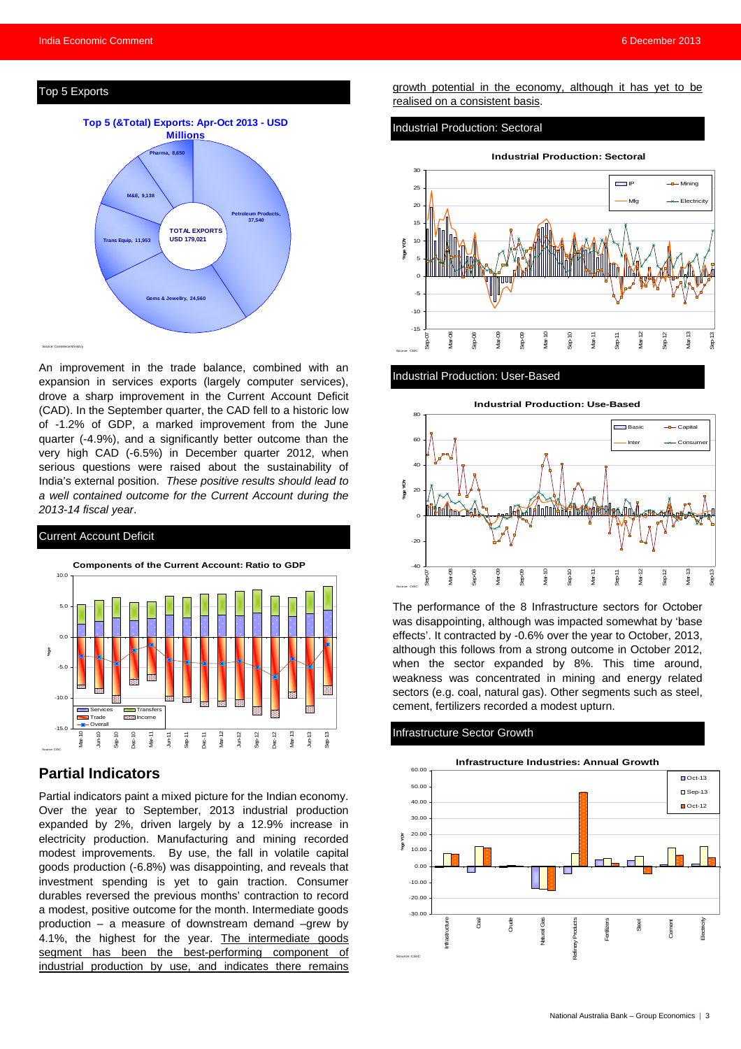#### Top 5 Exports



An improvement in the trade balance, combined with an expansion in services exports (largely computer services), drove a sharp improvement in the Current Account Deficit (CAD). In the September quarter, the CAD fell to a historic low of -1.2% of GDP, a marked improvement from the June quarter (-4.9%), and a significantly better outcome than the very high CAD (-6.5%) in December quarter 2012, when serious questions were raised about the sustainability of India's external position. *These positive results should lead to a well contained outcome for the Current Account during the 2013-14 fiscal year*.



#### **Partial Indicators**

Partial indicators paint a mixed picture for the Indian economy. Over the year to September, 2013 industrial production expanded by 2%, driven largely by a 12.9% increase in electricity production. Manufacturing and mining recorded modest improvements. By use, the fall in volatile capital goods production (-6.8%) was disappointing, and reveals that investment spending is yet to gain traction. Consumer durables reversed the previous months' contraction to record a modest, positive outcome for the month. Intermediate goods production – a measure of downstream demand –grew by 4.1%, the highest for the year. The intermediate goods segment has been the best-performing component of industrial production by use, and indicates there remains growth potential in the economy, although it has yet to be realised on a consistent basis.

#### Industrial Production: Sectoral



#### Industrial Production: User-Based



The performance of the 8 Infrastructure sectors for October was disappointing, although was impacted somewhat by 'base effects'. It contracted by -0.6% over the year to October, 2013, although this follows from a strong outcome in October 2012, when the sector expanded by 8%. This time around, weakness was concentrated in mining and energy related sectors (e.g. coal, natural gas). Other segments such as steel. cement, fertilizers recorded a modest upturn.

#### Infrastructure Sector Growth

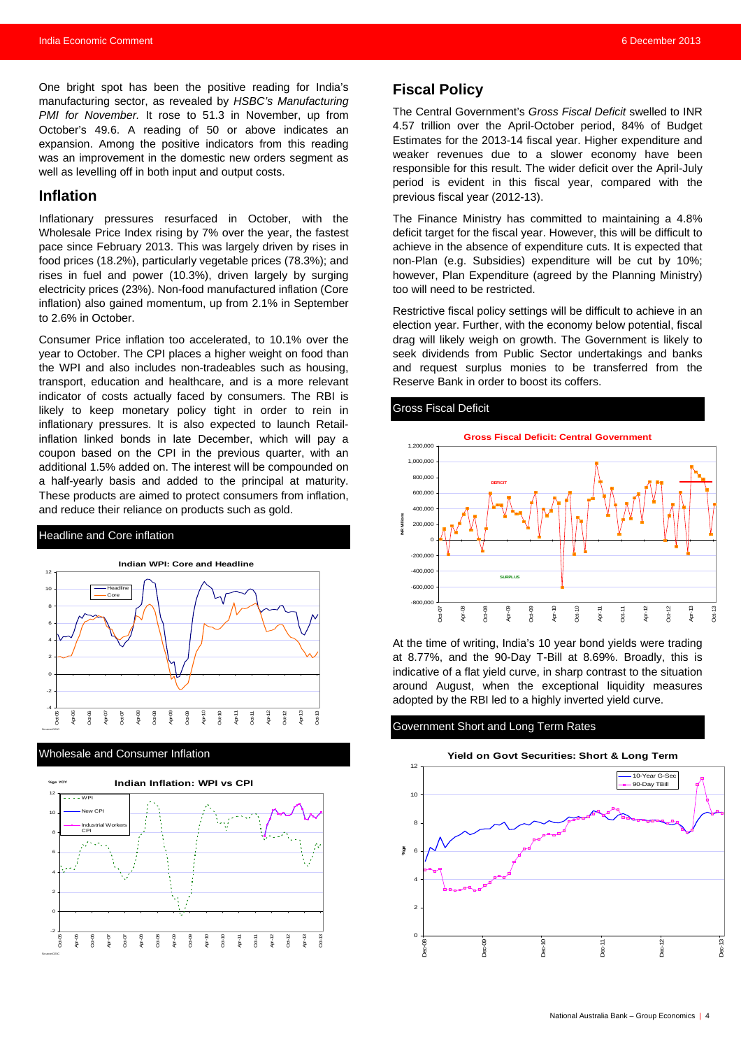One bright spot has been the positive reading for India's manufacturing sector, as revealed by *HSBC's Manufacturing PMI for November.* It rose to 51.3 in November, up from October's 49.6. A reading of 50 or above indicates an expansion. Among the positive indicators from this reading was an improvement in the domestic new orders segment as well as levelling off in both input and output costs.

#### **Inflation**

Inflationary pressures resurfaced in October, with the Wholesale Price Index rising by 7% over the year, the fastest pace since February 2013. This was largely driven by rises in food prices (18.2%), particularly vegetable prices (78.3%); and rises in fuel and power (10.3%), driven largely by surging electricity prices (23%). Non-food manufactured inflation (Core inflation) also gained momentum, up from 2.1% in September to 2.6% in October.

Consumer Price inflation too accelerated, to 10.1% over the year to October. The CPI places a higher weight on food than the WPI and also includes non-tradeables such as housing, transport, education and healthcare, and is a more relevant indicator of costs actually faced by consumers. The RBI is likely to keep monetary policy tight in order to rein in inflationary pressures. It is also expected to launch Retailinflation linked bonds in late December, which will pay a coupon based on the CPI in the previous quarter, with an additional 1.5% added on. The interest will be compounded on a half-yearly basis and added to the principal at maturity. These products are aimed to protect consumers from inflation, and reduce their reliance on products such as gold.

#### Headline and Core inflation



#### Wholesale and Consumer Inflation



### **Fiscal Policy**

The Central Government's *Gross Fiscal Deficit* swelled to INR 4.57 trillion over the April-October period, 84% of Budget Estimates for the 2013-14 fiscal year. Higher expenditure and weaker revenues due to a slower economy have been responsible for this result. The wider deficit over the April-July period is evident in this fiscal year, compared with the previous fiscal year (2012-13).

The Finance Ministry has committed to maintaining a 4.8% deficit target for the fiscal year. However, this will be difficult to achieve in the absence of expenditure cuts. It is expected that non-Plan (e.g. Subsidies) expenditure will be cut by 10%; however, Plan Expenditure (agreed by the Planning Ministry) too will need to be restricted.

Restrictive fiscal policy settings will be difficult to achieve in an election year. Further, with the economy below potential, fiscal drag will likely weigh on growth. The Government is likely to seek dividends from Public Sector undertakings and banks and request surplus monies to be transferred from the Reserve Bank in order to boost its coffers.

#### Gross Fiscal Deficit



At the time of writing, India's 10 year bond yields were trading at 8.77%, and the 90-Day T-Bill at 8.69%. Broadly, this is indicative of a flat yield curve, in sharp contrast to the situation around August, when the exceptional liquidity measures adopted by the RBI led to a highly inverted yield curve.

#### Government Short and Long Term Rates

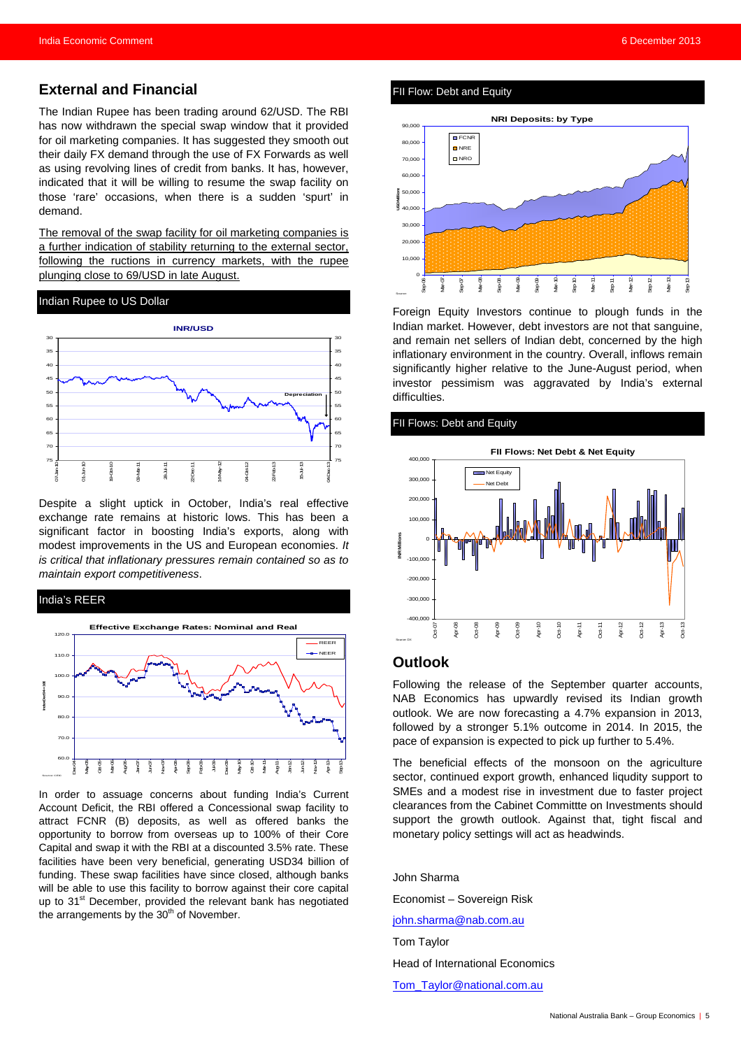**External and Financial** 

The Indian Rupee has been trading around 62/USD. The RBI has now withdrawn the special swap window that it provided for oil marketing companies. It has suggested they smooth out their daily FX demand through the use of FX Forwards as well as using revolving lines of credit from banks. It has, however, indicated that it will be willing to resume the swap facility on those 'rare' occasions, when there is a sudden 'spurt' in demand.

The removal of the swap facility for oil marketing companies is a further indication of stability returning to the external sector, following the ructions in currency markets, with the rupee plunging close to 69/USD in late August.

#### Indian Rupee to US Dollar



Despite a slight uptick in October, India's real effective exchange rate remains at historic lows. This has been a significant factor in boosting India's exports, along with modest improvements in the US and European economies. *It is critical that inflationary pressures remain contained so as to maintain export competitiveness*.

#### India's REER



In order to assuage concerns about funding India's Current Account Deficit, the RBI offered a Concessional swap facility to attract FCNR (B) deposits, as well as offered banks the opportunity to borrow from overseas up to 100% of their Core Capital and swap it with the RBI at a discounted 3.5% rate. These facilities have been very beneficial, generating USD34 billion of funding. These swap facilities have since closed, although banks will be able to use this facility to borrow against their core capital up to 31<sup>st</sup> December, provided the relevant bank has negotiated the arrangements by the  $30<sup>th</sup>$  of November.

#### FII Flow: Debt and Equity



Foreign Equity Investors continue to plough funds in the Indian market. However, debt investors are not that sanguine, and remain net sellers of Indian debt, concerned by the high inflationary environment in the country. Overall, inflows remain significantly higher relative to the June-August period, when investor pessimism was aggravated by India's external difficulties.

#### FII Flows: Debt and Equity



#### **Outlook**

Following the release of the September quarter accounts, NAB Economics has upwardly revised its Indian growth outlook. We are now forecasting a 4.7% expansion in 2013, followed by a stronger 5.1% outcome in 2014. In 2015, the pace of expansion is expected to pick up further to 5.4%.

The beneficial effects of the monsoon on the agriculture sector, continued export growth, enhanced liqudity support to SMEs and a modest rise in investment due to faster project clearances from the Cabinet Committte on Investments should support the growth outlook. Against that, tight fiscal and monetary policy settings will act as headwinds.

John Sharma Economist – Sovereign Risk [john.sharma@nab.com.au](mailto:john.sharma@nab.com.au) Tom Taylor Head of International Economics [Tom\\_Taylor@national.com.au](mailto:Tom_Taylor@national.com.au)